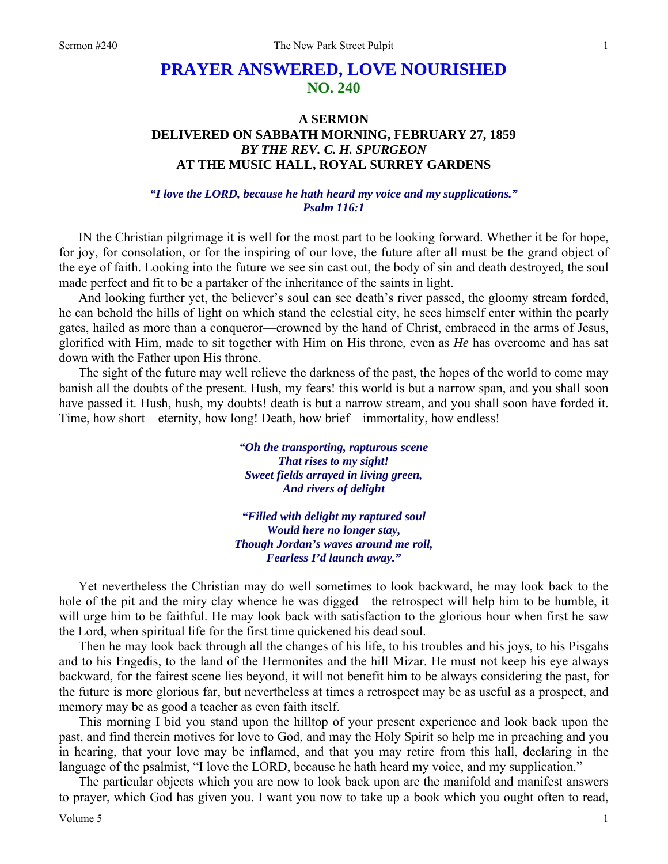## **PRAYER ANSWERED, LOVE NOURISHED NO. 240**

## **A SERMON DELIVERED ON SABBATH MORNING, FEBRUARY 27, 1859**  *BY THE REV. C. H. SPURGEON*  **AT THE MUSIC HALL, ROYAL SURREY GARDENS**

## *"I love the LORD, because he hath heard my voice and my supplications." Psalm 116:1*

IN the Christian pilgrimage it is well for the most part to be looking forward. Whether it be for hope, for joy, for consolation, or for the inspiring of our love, the future after all must be the grand object of the eye of faith. Looking into the future we see sin cast out, the body of sin and death destroyed, the soul made perfect and fit to be a partaker of the inheritance of the saints in light.

And looking further yet, the believer's soul can see death's river passed, the gloomy stream forded, he can behold the hills of light on which stand the celestial city, he sees himself enter within the pearly gates, hailed as more than a conqueror—crowned by the hand of Christ, embraced in the arms of Jesus, glorified with Him, made to sit together with Him on His throne, even as *He* has overcome and has sat down with the Father upon His throne.

The sight of the future may well relieve the darkness of the past, the hopes of the world to come may banish all the doubts of the present. Hush, my fears! this world is but a narrow span, and you shall soon have passed it. Hush, hush, my doubts! death is but a narrow stream, and you shall soon have forded it. Time, how short—eternity, how long! Death, how brief—immortality, how endless!

> *"Oh the transporting, rapturous scene That rises to my sight! Sweet fields arrayed in living green, And rivers of delight*

*"Filled with delight my raptured soul Would here no longer stay, Though Jordan's waves around me roll, Fearless I'd launch away."* 

Yet nevertheless the Christian may do well sometimes to look backward, he may look back to the hole of the pit and the miry clay whence he was digged—the retrospect will help him to be humble, it will urge him to be faithful. He may look back with satisfaction to the glorious hour when first he saw the Lord, when spiritual life for the first time quickened his dead soul.

Then he may look back through all the changes of his life, to his troubles and his joys, to his Pisgahs and to his Engedis, to the land of the Hermonites and the hill Mizar. He must not keep his eye always backward, for the fairest scene lies beyond, it will not benefit him to be always considering the past, for the future is more glorious far, but nevertheless at times a retrospect may be as useful as a prospect, and memory may be as good a teacher as even faith itself.

This morning I bid you stand upon the hilltop of your present experience and look back upon the past, and find therein motives for love to God, and may the Holy Spirit so help me in preaching and you in hearing, that your love may be inflamed, and that you may retire from this hall, declaring in the language of the psalmist, "I love the LORD, because he hath heard my voice, and my supplication."

The particular objects which you are now to look back upon are the manifold and manifest answers to prayer, which God has given you. I want you now to take up a book which you ought often to read,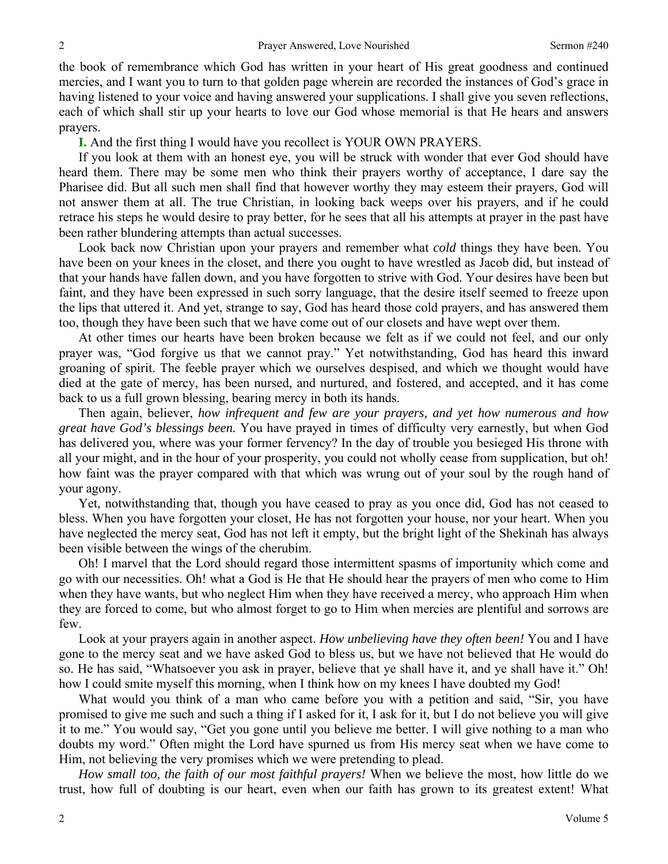the book of remembrance which God has written in your heart of His great goodness and continued mercies, and I want you to turn to that golden page wherein are recorded the instances of God's grace in having listened to your voice and having answered your supplications. I shall give you seven reflections, each of which shall stir up your hearts to love our God whose memorial is that He hears and answers prayers.

**I.** And the first thing I would have you recollect is YOUR OWN PRAYERS.

If you look at them with an honest eye, you will be struck with wonder that ever God should have heard them. There may be some men who think their prayers worthy of acceptance, I dare say the Pharisee did. But all such men shall find that however worthy they may esteem their prayers, God will not answer them at all. The true Christian, in looking back weeps over his prayers, and if he could retrace his steps he would desire to pray better, for he sees that all his attempts at prayer in the past have been rather blundering attempts than actual successes.

Look back now Christian upon your prayers and remember what *cold* things they have been. You have been on your knees in the closet, and there you ought to have wrestled as Jacob did, but instead of that your hands have fallen down, and you have forgotten to strive with God. Your desires have been but faint, and they have been expressed in such sorry language, that the desire itself seemed to freeze upon the lips that uttered it. And yet, strange to say, God has heard those cold prayers, and has answered them too, though they have been such that we have come out of our closets and have wept over them.

At other times our hearts have been broken because we felt as if we could not feel, and our only prayer was, "God forgive us that we cannot pray." Yet notwithstanding, God has heard this inward groaning of spirit. The feeble prayer which we ourselves despised, and which we thought would have died at the gate of mercy, has been nursed, and nurtured, and fostered, and accepted, and it has come back to us a full grown blessing, bearing mercy in both its hands.

Then again, believer, *how infrequent and few are your prayers, and yet how numerous and how great have God's blessings been.* You have prayed in times of difficulty very earnestly, but when God has delivered you, where was your former fervency? In the day of trouble you besieged His throne with all your might, and in the hour of your prosperity, you could not wholly cease from supplication, but oh! how faint was the prayer compared with that which was wrung out of your soul by the rough hand of your agony.

Yet, notwithstanding that, though you have ceased to pray as you once did, God has not ceased to bless. When you have forgotten your closet, He has not forgotten your house, nor your heart. When you have neglected the mercy seat, God has not left it empty, but the bright light of the Shekinah has always been visible between the wings of the cherubim.

Oh! I marvel that the Lord should regard those intermittent spasms of importunity which come and go with our necessities. Oh! what a God is He that He should hear the prayers of men who come to Him when they have wants, but who neglect Him when they have received a mercy, who approach Him when they are forced to come, but who almost forget to go to Him when mercies are plentiful and sorrows are few.

Look at your prayers again in another aspect. *How unbelieving have they often been!* You and I have gone to the mercy seat and we have asked God to bless us, but we have not believed that He would do so. He has said, "Whatsoever you ask in prayer, believe that ye shall have it, and ye shall have it." Oh! how I could smite myself this morning, when I think how on my knees I have doubted my God!

What would you think of a man who came before you with a petition and said, "Sir, you have promised to give me such and such a thing if I asked for it, I ask for it, but I do not believe you will give it to me." You would say, "Get you gone until you believe me better. I will give nothing to a man who doubts my word." Often might the Lord have spurned us from His mercy seat when we have come to Him, not believing the very promises which we were pretending to plead.

*How small too, the faith of our most faithful prayers!* When we believe the most, how little do we trust, how full of doubting is our heart, even when our faith has grown to its greatest extent! What

2

2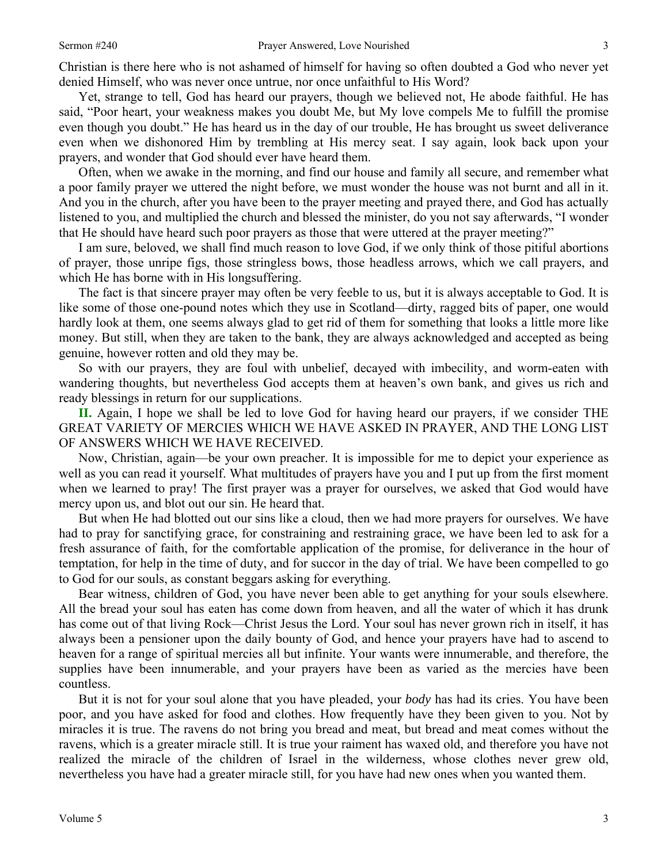Christian is there here who is not ashamed of himself for having so often doubted a God who never yet denied Himself, who was never once untrue, nor once unfaithful to His Word?

Yet, strange to tell, God has heard our prayers, though we believed not, He abode faithful. He has said, "Poor heart, your weakness makes you doubt Me, but My love compels Me to fulfill the promise even though you doubt." He has heard us in the day of our trouble, He has brought us sweet deliverance even when we dishonored Him by trembling at His mercy seat. I say again, look back upon your prayers, and wonder that God should ever have heard them.

Often, when we awake in the morning, and find our house and family all secure, and remember what a poor family prayer we uttered the night before, we must wonder the house was not burnt and all in it. And you in the church, after you have been to the prayer meeting and prayed there, and God has actually listened to you, and multiplied the church and blessed the minister, do you not say afterwards, "I wonder that He should have heard such poor prayers as those that were uttered at the prayer meeting?"

I am sure, beloved, we shall find much reason to love God, if we only think of those pitiful abortions of prayer, those unripe figs, those stringless bows, those headless arrows, which we call prayers, and which He has borne with in His longsuffering.

The fact is that sincere prayer may often be very feeble to us, but it is always acceptable to God. It is like some of those one-pound notes which they use in Scotland—dirty, ragged bits of paper, one would hardly look at them, one seems always glad to get rid of them for something that looks a little more like money. But still, when they are taken to the bank, they are always acknowledged and accepted as being genuine, however rotten and old they may be.

So with our prayers, they are foul with unbelief, decayed with imbecility, and worm-eaten with wandering thoughts, but nevertheless God accepts them at heaven's own bank, and gives us rich and ready blessings in return for our supplications.

**II.** Again, I hope we shall be led to love God for having heard our prayers, if we consider THE GREAT VARIETY OF MERCIES WHICH WE HAVE ASKED IN PRAYER, AND THE LONG LIST OF ANSWERS WHICH WE HAVE RECEIVED.

Now, Christian, again—be your own preacher. It is impossible for me to depict your experience as well as you can read it yourself. What multitudes of prayers have you and I put up from the first moment when we learned to pray! The first prayer was a prayer for ourselves, we asked that God would have mercy upon us, and blot out our sin. He heard that.

But when He had blotted out our sins like a cloud, then we had more prayers for ourselves. We have had to pray for sanctifying grace, for constraining and restraining grace, we have been led to ask for a fresh assurance of faith, for the comfortable application of the promise, for deliverance in the hour of temptation, for help in the time of duty, and for succor in the day of trial. We have been compelled to go to God for our souls, as constant beggars asking for everything.

Bear witness, children of God, you have never been able to get anything for your souls elsewhere. All the bread your soul has eaten has come down from heaven, and all the water of which it has drunk has come out of that living Rock—Christ Jesus the Lord. Your soul has never grown rich in itself, it has always been a pensioner upon the daily bounty of God, and hence your prayers have had to ascend to heaven for a range of spiritual mercies all but infinite. Your wants were innumerable, and therefore, the supplies have been innumerable, and your prayers have been as varied as the mercies have been countless.

But it is not for your soul alone that you have pleaded, your *body* has had its cries. You have been poor, and you have asked for food and clothes. How frequently have they been given to you. Not by miracles it is true. The ravens do not bring you bread and meat, but bread and meat comes without the ravens, which is a greater miracle still. It is true your raiment has waxed old, and therefore you have not realized the miracle of the children of Israel in the wilderness, whose clothes never grew old, nevertheless you have had a greater miracle still, for you have had new ones when you wanted them.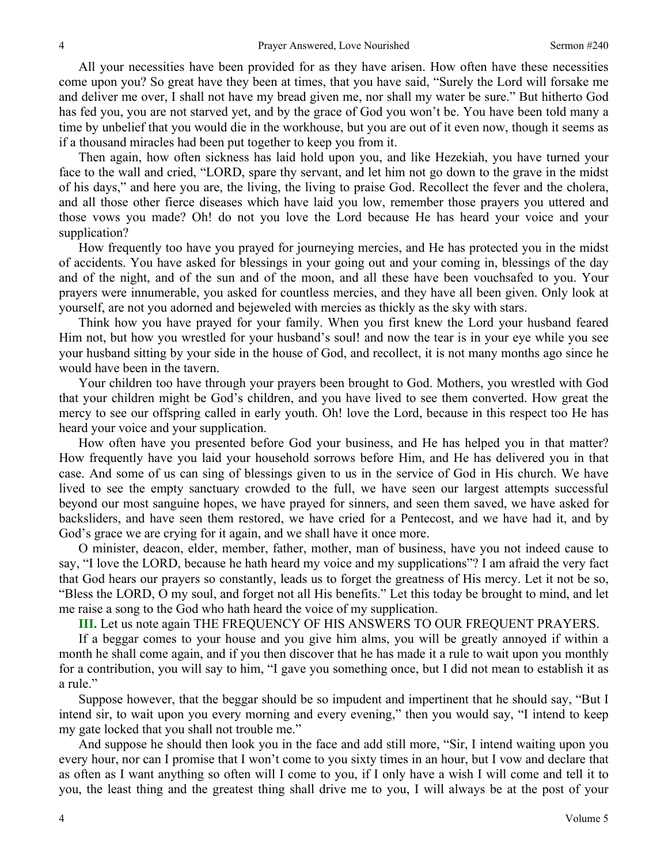All your necessities have been provided for as they have arisen. How often have these necessities come upon you? So great have they been at times, that you have said, "Surely the Lord will forsake me and deliver me over, I shall not have my bread given me, nor shall my water be sure." But hitherto God has fed you, you are not starved yet, and by the grace of God you won't be. You have been told many a time by unbelief that you would die in the workhouse, but you are out of it even now, though it seems as if a thousand miracles had been put together to keep you from it.

Then again, how often sickness has laid hold upon you, and like Hezekiah, you have turned your face to the wall and cried, "LORD, spare thy servant, and let him not go down to the grave in the midst of his days," and here you are, the living, the living to praise God. Recollect the fever and the cholera, and all those other fierce diseases which have laid you low, remember those prayers you uttered and those vows you made? Oh! do not you love the Lord because He has heard your voice and your supplication?

How frequently too have you prayed for journeying mercies, and He has protected you in the midst of accidents. You have asked for blessings in your going out and your coming in, blessings of the day and of the night, and of the sun and of the moon, and all these have been vouchsafed to you. Your prayers were innumerable, you asked for countless mercies, and they have all been given. Only look at yourself, are not you adorned and bejeweled with mercies as thickly as the sky with stars.

Think how you have prayed for your family. When you first knew the Lord your husband feared Him not, but how you wrestled for your husband's soul! and now the tear is in your eye while you see your husband sitting by your side in the house of God, and recollect, it is not many months ago since he would have been in the tavern.

Your children too have through your prayers been brought to God. Mothers, you wrestled with God that your children might be God's children, and you have lived to see them converted. How great the mercy to see our offspring called in early youth. Oh! love the Lord, because in this respect too He has heard your voice and your supplication.

How often have you presented before God your business, and He has helped you in that matter? How frequently have you laid your household sorrows before Him, and He has delivered you in that case. And some of us can sing of blessings given to us in the service of God in His church. We have lived to see the empty sanctuary crowded to the full, we have seen our largest attempts successful beyond our most sanguine hopes, we have prayed for sinners, and seen them saved, we have asked for backsliders, and have seen them restored, we have cried for a Pentecost, and we have had it, and by God's grace we are crying for it again, and we shall have it once more.

O minister, deacon, elder, member, father, mother, man of business, have you not indeed cause to say, "I love the LORD, because he hath heard my voice and my supplications"? I am afraid the very fact that God hears our prayers so constantly, leads us to forget the greatness of His mercy. Let it not be so, "Bless the LORD, O my soul, and forget not all His benefits." Let this today be brought to mind, and let me raise a song to the God who hath heard the voice of my supplication.

**III.** Let us note again THE FREQUENCY OF HIS ANSWERS TO OUR FREQUENT PRAYERS.

If a beggar comes to your house and you give him alms, you will be greatly annoyed if within a month he shall come again, and if you then discover that he has made it a rule to wait upon you monthly for a contribution, you will say to him, "I gave you something once, but I did not mean to establish it as a rule."

Suppose however, that the beggar should be so impudent and impertinent that he should say, "But I intend sir, to wait upon you every morning and every evening," then you would say, "I intend to keep my gate locked that you shall not trouble me."

And suppose he should then look you in the face and add still more, "Sir, I intend waiting upon you every hour, nor can I promise that I won't come to you sixty times in an hour, but I vow and declare that as often as I want anything so often will I come to you, if I only have a wish I will come and tell it to you, the least thing and the greatest thing shall drive me to you, I will always be at the post of your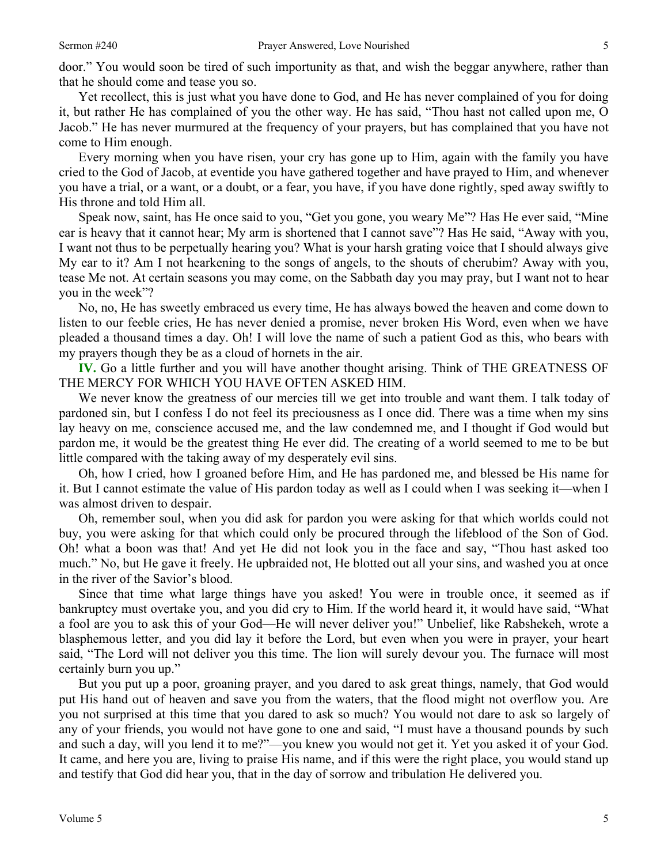Yet recollect, this is just what you have done to God, and He has never complained of you for doing it, but rather He has complained of you the other way. He has said, "Thou hast not called upon me, O Jacob." He has never murmured at the frequency of your prayers, but has complained that you have not come to Him enough.

Every morning when you have risen, your cry has gone up to Him, again with the family you have cried to the God of Jacob, at eventide you have gathered together and have prayed to Him, and whenever you have a trial, or a want, or a doubt, or a fear, you have, if you have done rightly, sped away swiftly to His throne and told Him all.

Speak now, saint, has He once said to you, "Get you gone, you weary Me"? Has He ever said, "Mine ear is heavy that it cannot hear; My arm is shortened that I cannot save"? Has He said, "Away with you, I want not thus to be perpetually hearing you? What is your harsh grating voice that I should always give My ear to it? Am I not hearkening to the songs of angels, to the shouts of cherubim? Away with you, tease Me not. At certain seasons you may come, on the Sabbath day you may pray, but I want not to hear you in the week"?

No, no, He has sweetly embraced us every time, He has always bowed the heaven and come down to listen to our feeble cries, He has never denied a promise, never broken His Word, even when we have pleaded a thousand times a day. Oh! I will love the name of such a patient God as this, who bears with my prayers though they be as a cloud of hornets in the air.

**IV.** Go a little further and you will have another thought arising. Think of THE GREATNESS OF THE MERCY FOR WHICH YOU HAVE OFTEN ASKED HIM.

We never know the greatness of our mercies till we get into trouble and want them. I talk today of pardoned sin, but I confess I do not feel its preciousness as I once did. There was a time when my sins lay heavy on me, conscience accused me, and the law condemned me, and I thought if God would but pardon me, it would be the greatest thing He ever did. The creating of a world seemed to me to be but little compared with the taking away of my desperately evil sins.

Oh, how I cried, how I groaned before Him, and He has pardoned me, and blessed be His name for it. But I cannot estimate the value of His pardon today as well as I could when I was seeking it—when I was almost driven to despair.

Oh, remember soul, when you did ask for pardon you were asking for that which worlds could not buy, you were asking for that which could only be procured through the lifeblood of the Son of God. Oh! what a boon was that! And yet He did not look you in the face and say, "Thou hast asked too much." No, but He gave it freely. He upbraided not, He blotted out all your sins, and washed you at once in the river of the Savior's blood.

Since that time what large things have you asked! You were in trouble once, it seemed as if bankruptcy must overtake you, and you did cry to Him. If the world heard it, it would have said, "What a fool are you to ask this of your God—He will never deliver you!" Unbelief, like Rabshekeh, wrote a blasphemous letter, and you did lay it before the Lord, but even when you were in prayer, your heart said, "The Lord will not deliver you this time. The lion will surely devour you. The furnace will most certainly burn you up."

But you put up a poor, groaning prayer, and you dared to ask great things, namely, that God would put His hand out of heaven and save you from the waters, that the flood might not overflow you. Are you not surprised at this time that you dared to ask so much? You would not dare to ask so largely of any of your friends, you would not have gone to one and said, "I must have a thousand pounds by such and such a day, will you lend it to me?"—you knew you would not get it. Yet you asked it of your God. It came, and here you are, living to praise His name, and if this were the right place, you would stand up and testify that God did hear you, that in the day of sorrow and tribulation He delivered you.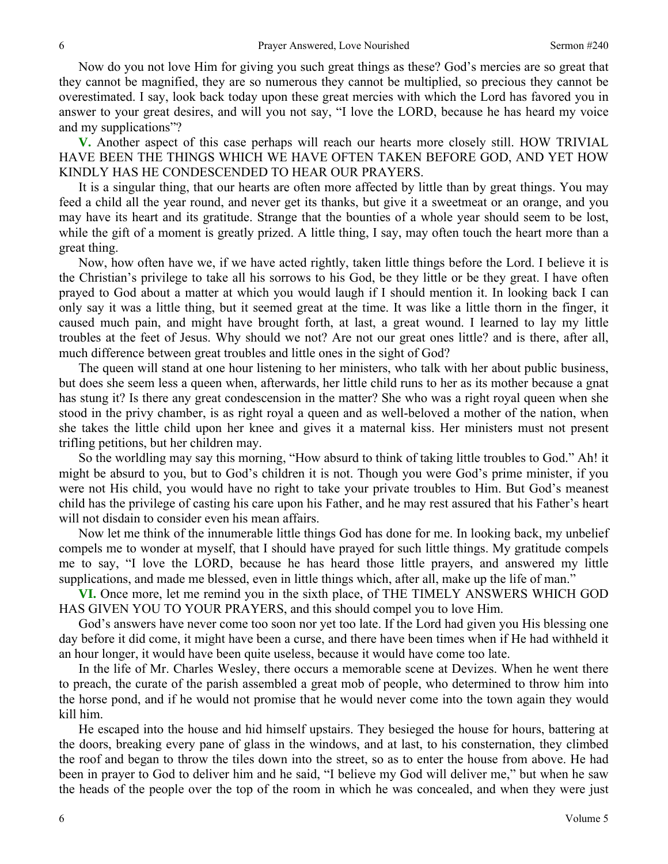Now do you not love Him for giving you such great things as these? God's mercies are so great that they cannot be magnified, they are so numerous they cannot be multiplied, so precious they cannot be overestimated. I say, look back today upon these great mercies with which the Lord has favored you in answer to your great desires, and will you not say, "I love the LORD, because he has heard my voice and my supplications"?

**V.** Another aspect of this case perhaps will reach our hearts more closely still. HOW TRIVIAL HAVE BEEN THE THINGS WHICH WE HAVE OFTEN TAKEN BEFORE GOD, AND YET HOW KINDLY HAS HE CONDESCENDED TO HEAR OUR PRAYERS.

It is a singular thing, that our hearts are often more affected by little than by great things. You may feed a child all the year round, and never get its thanks, but give it a sweetmeat or an orange, and you may have its heart and its gratitude. Strange that the bounties of a whole year should seem to be lost, while the gift of a moment is greatly prized. A little thing, I say, may often touch the heart more than a great thing.

Now, how often have we, if we have acted rightly, taken little things before the Lord. I believe it is the Christian's privilege to take all his sorrows to his God, be they little or be they great. I have often prayed to God about a matter at which you would laugh if I should mention it. In looking back I can only say it was a little thing, but it seemed great at the time. It was like a little thorn in the finger, it caused much pain, and might have brought forth, at last, a great wound. I learned to lay my little troubles at the feet of Jesus. Why should we not? Are not our great ones little? and is there, after all, much difference between great troubles and little ones in the sight of God?

The queen will stand at one hour listening to her ministers, who talk with her about public business, but does she seem less a queen when, afterwards, her little child runs to her as its mother because a gnat has stung it? Is there any great condescension in the matter? She who was a right royal queen when she stood in the privy chamber, is as right royal a queen and as well-beloved a mother of the nation, when she takes the little child upon her knee and gives it a maternal kiss. Her ministers must not present trifling petitions, but her children may.

So the worldling may say this morning, "How absurd to think of taking little troubles to God." Ah! it might be absurd to you, but to God's children it is not. Though you were God's prime minister, if you were not His child, you would have no right to take your private troubles to Him. But God's meanest child has the privilege of casting his care upon his Father, and he may rest assured that his Father's heart will not disdain to consider even his mean affairs.

Now let me think of the innumerable little things God has done for me. In looking back, my unbelief compels me to wonder at myself, that I should have prayed for such little things. My gratitude compels me to say, "I love the LORD, because he has heard those little prayers, and answered my little supplications, and made me blessed, even in little things which, after all, make up the life of man."

**VI.** Once more, let me remind you in the sixth place, of THE TIMELY ANSWERS WHICH GOD HAS GIVEN YOU TO YOUR PRAYERS, and this should compel you to love Him.

God's answers have never come too soon nor yet too late. If the Lord had given you His blessing one day before it did come, it might have been a curse, and there have been times when if He had withheld it an hour longer, it would have been quite useless, because it would have come too late.

In the life of Mr. Charles Wesley, there occurs a memorable scene at Devizes. When he went there to preach, the curate of the parish assembled a great mob of people, who determined to throw him into the horse pond, and if he would not promise that he would never come into the town again they would kill him.

He escaped into the house and hid himself upstairs. They besieged the house for hours, battering at the doors, breaking every pane of glass in the windows, and at last, to his consternation, they climbed the roof and began to throw the tiles down into the street, so as to enter the house from above. He had been in prayer to God to deliver him and he said, "I believe my God will deliver me," but when he saw the heads of the people over the top of the room in which he was concealed, and when they were just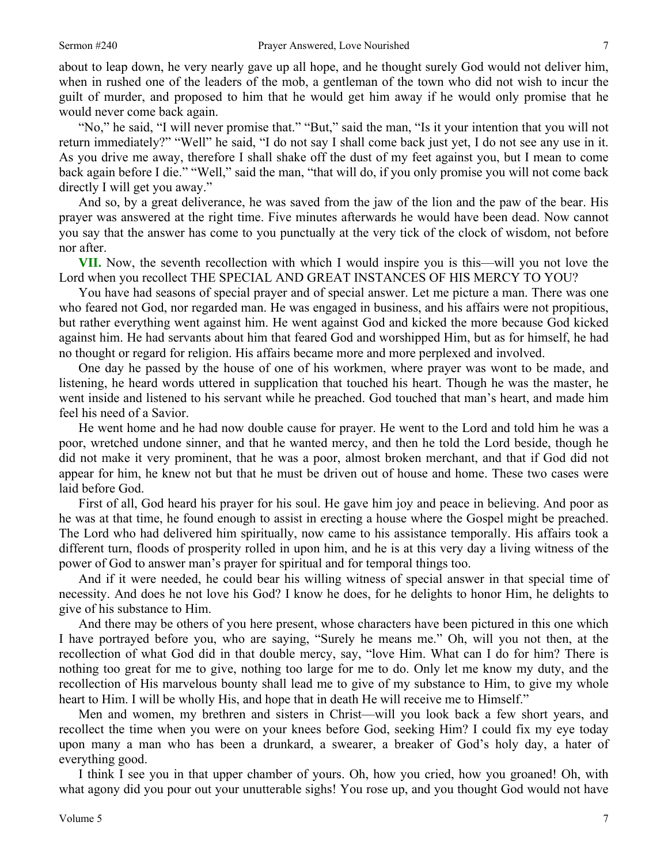about to leap down, he very nearly gave up all hope, and he thought surely God would not deliver him, when in rushed one of the leaders of the mob, a gentleman of the town who did not wish to incur the guilt of murder, and proposed to him that he would get him away if he would only promise that he would never come back again.

"No," he said, "I will never promise that." "But," said the man, "Is it your intention that you will not return immediately?" "Well" he said, "I do not say I shall come back just yet, I do not see any use in it. As you drive me away, therefore I shall shake off the dust of my feet against you, but I mean to come back again before I die." "Well," said the man, "that will do, if you only promise you will not come back directly I will get you away."

And so, by a great deliverance, he was saved from the jaw of the lion and the paw of the bear. His prayer was answered at the right time. Five minutes afterwards he would have been dead. Now cannot you say that the answer has come to you punctually at the very tick of the clock of wisdom, not before nor after.

**VII.** Now, the seventh recollection with which I would inspire you is this—will you not love the Lord when you recollect THE SPECIAL AND GREAT INSTANCES OF HIS MERCY TO YOU?

You have had seasons of special prayer and of special answer. Let me picture a man. There was one who feared not God, nor regarded man. He was engaged in business, and his affairs were not propitious, but rather everything went against him. He went against God and kicked the more because God kicked against him. He had servants about him that feared God and worshipped Him, but as for himself, he had no thought or regard for religion. His affairs became more and more perplexed and involved.

One day he passed by the house of one of his workmen, where prayer was wont to be made, and listening, he heard words uttered in supplication that touched his heart. Though he was the master, he went inside and listened to his servant while he preached. God touched that man's heart, and made him feel his need of a Savior.

He went home and he had now double cause for prayer. He went to the Lord and told him he was a poor, wretched undone sinner, and that he wanted mercy, and then he told the Lord beside, though he did not make it very prominent, that he was a poor, almost broken merchant, and that if God did not appear for him, he knew not but that he must be driven out of house and home. These two cases were laid before God.

First of all, God heard his prayer for his soul. He gave him joy and peace in believing. And poor as he was at that time, he found enough to assist in erecting a house where the Gospel might be preached. The Lord who had delivered him spiritually, now came to his assistance temporally. His affairs took a different turn, floods of prosperity rolled in upon him, and he is at this very day a living witness of the power of God to answer man's prayer for spiritual and for temporal things too.

And if it were needed, he could bear his willing witness of special answer in that special time of necessity. And does he not love his God? I know he does, for he delights to honor Him, he delights to give of his substance to Him.

And there may be others of you here present, whose characters have been pictured in this one which I have portrayed before you, who are saying, "Surely he means me." Oh, will you not then, at the recollection of what God did in that double mercy, say, "love Him. What can I do for him? There is nothing too great for me to give, nothing too large for me to do. Only let me know my duty, and the recollection of His marvelous bounty shall lead me to give of my substance to Him, to give my whole heart to Him. I will be wholly His, and hope that in death He will receive me to Himself."

Men and women, my brethren and sisters in Christ—will you look back a few short years, and recollect the time when you were on your knees before God, seeking Him? I could fix my eye today upon many a man who has been a drunkard, a swearer, a breaker of God's holy day, a hater of everything good.

I think I see you in that upper chamber of yours. Oh, how you cried, how you groaned! Oh, with what agony did you pour out your unutterable sighs! You rose up, and you thought God would not have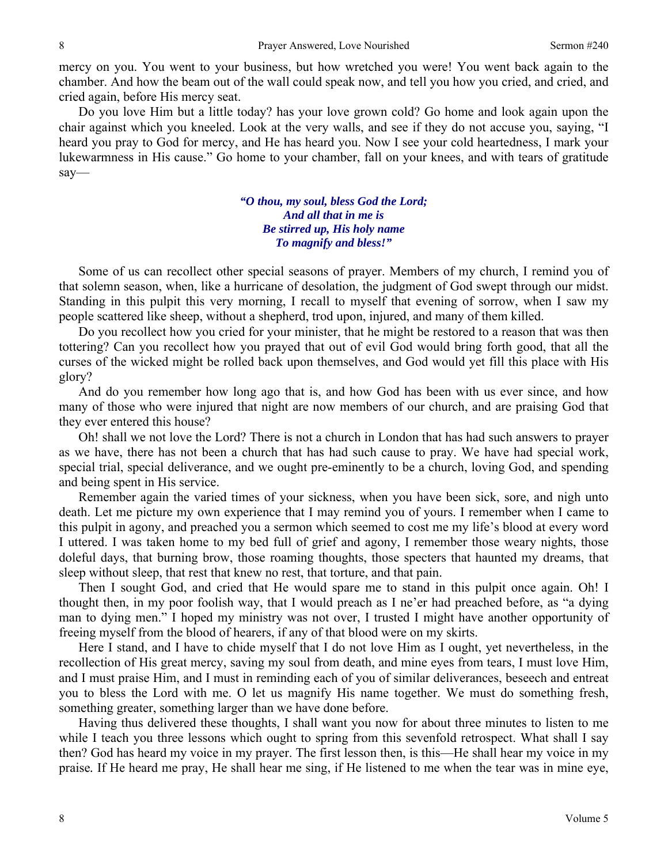mercy on you. You went to your business, but how wretched you were! You went back again to the chamber. And how the beam out of the wall could speak now, and tell you how you cried, and cried, and cried again, before His mercy seat.

Do you love Him but a little today? has your love grown cold? Go home and look again upon the chair against which you kneeled. Look at the very walls, and see if they do not accuse you, saying, "I heard you pray to God for mercy, and He has heard you. Now I see your cold heartedness, I mark your lukewarmness in His cause." Go home to your chamber, fall on your knees, and with tears of gratitude say—

> *"O thou, my soul, bless God the Lord; And all that in me is Be stirred up, His holy name To magnify and bless!"*

Some of us can recollect other special seasons of prayer. Members of my church, I remind you of that solemn season, when, like a hurricane of desolation, the judgment of God swept through our midst. Standing in this pulpit this very morning, I recall to myself that evening of sorrow, when I saw my people scattered like sheep, without a shepherd, trod upon, injured, and many of them killed.

Do you recollect how you cried for your minister, that he might be restored to a reason that was then tottering? Can you recollect how you prayed that out of evil God would bring forth good, that all the curses of the wicked might be rolled back upon themselves, and God would yet fill this place with His glory?

And do you remember how long ago that is, and how God has been with us ever since, and how many of those who were injured that night are now members of our church, and are praising God that they ever entered this house?

Oh! shall we not love the Lord? There is not a church in London that has had such answers to prayer as we have, there has not been a church that has had such cause to pray. We have had special work, special trial, special deliverance, and we ought pre-eminently to be a church, loving God, and spending and being spent in His service.

Remember again the varied times of your sickness, when you have been sick, sore, and nigh unto death. Let me picture my own experience that I may remind you of yours. I remember when I came to this pulpit in agony, and preached you a sermon which seemed to cost me my life's blood at every word I uttered. I was taken home to my bed full of grief and agony, I remember those weary nights, those doleful days, that burning brow, those roaming thoughts, those specters that haunted my dreams, that sleep without sleep, that rest that knew no rest, that torture, and that pain.

Then I sought God, and cried that He would spare me to stand in this pulpit once again. Oh! I thought then, in my poor foolish way, that I would preach as I ne'er had preached before, as "a dying man to dying men." I hoped my ministry was not over, I trusted I might have another opportunity of freeing myself from the blood of hearers, if any of that blood were on my skirts.

Here I stand, and I have to chide myself that I do not love Him as I ought, yet nevertheless, in the recollection of His great mercy, saving my soul from death, and mine eyes from tears, I must love Him, and I must praise Him, and I must in reminding each of you of similar deliverances, beseech and entreat you to bless the Lord with me. O let us magnify His name together. We must do something fresh, something greater, something larger than we have done before.

Having thus delivered these thoughts, I shall want you now for about three minutes to listen to me while I teach you three lessons which ought to spring from this sevenfold retrospect. What shall I say then? God has heard my voice in my prayer. The first lesson then, is this—He shall hear my voice in my praise*.* If He heard me pray, He shall hear me sing, if He listened to me when the tear was in mine eye,